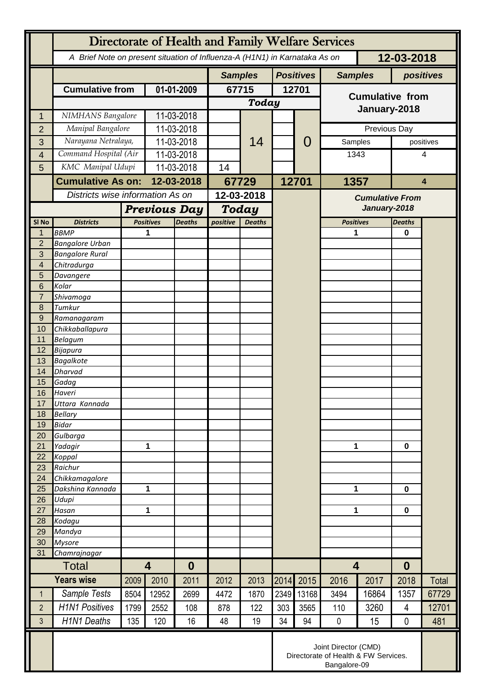|                  | Directorate of Health and Family Welfare Services                                        |                         |                                   |                |                           |                  |       |                |                                                                              |           |                  |           |  |
|------------------|------------------------------------------------------------------------------------------|-------------------------|-----------------------------------|----------------|---------------------------|------------------|-------|----------------|------------------------------------------------------------------------------|-----------|------------------|-----------|--|
|                  | 12-03-2018<br>A Brief Note on present situation of Influenza-A (H1N1) in Karnataka As on |                         |                                   |                |                           |                  |       |                |                                                                              |           |                  |           |  |
|                  |                                                                                          |                         |                                   | <b>Samples</b> |                           | <b>Positives</b> |       | <b>Samples</b> |                                                                              | positives |                  |           |  |
|                  | <b>Cumulative from</b>                                                                   |                         | 01-01-2009                        |                | 67715                     |                  | 12701 |                | <b>Cumulative from</b>                                                       |           |                  |           |  |
|                  |                                                                                          |                         |                                   |                | <b>Today</b>              |                  |       |                |                                                                              |           |                  |           |  |
| 1                | NIMHANS Bangalore                                                                        |                         | 11-03-2018                        |                |                           | 14               |       |                | January-2018                                                                 |           |                  |           |  |
| $\overline{2}$   | Manipal Bangalore                                                                        |                         | 11-03-2018                        |                |                           |                  |       |                | Previous Day                                                                 |           |                  |           |  |
| 3                |                                                                                          | Narayana Netralaya,     |                                   | 11-03-2018     |                           |                  |       | 0              | Samples                                                                      |           |                  | positives |  |
| $\overline{4}$   | Command Hospital (Air                                                                    |                         | 11-03-2018                        |                |                           |                  |       |                | 1343                                                                         |           |                  | 4         |  |
| 5                | KMC Manipal Udupi                                                                        |                         | 11-03-2018                        |                | 14                        |                  |       |                |                                                                              |           |                  |           |  |
|                  | <b>Cumulative As on:</b>                                                                 |                         | 12-03-2018                        |                | 67729                     |                  | 12701 |                | 1357                                                                         |           | $\overline{4}$   |           |  |
|                  | Districts wise information As on                                                         |                         |                                   |                | 12-03-2018                |                  |       |                | <b>Cumulative From</b>                                                       |           |                  |           |  |
|                  |                                                                                          |                         | <b>Previous Day</b>               |                | <b>Today</b>              |                  |       |                | January-2018                                                                 |           |                  |           |  |
| SI <sub>No</sub> | <b>Districts</b>                                                                         |                         | <b>Positives</b><br><b>Deaths</b> |                | positive<br><b>Deaths</b> |                  |       |                | <b>Positives</b>                                                             |           | <b>Deaths</b>    |           |  |
| 1                | <b>BBMP</b>                                                                              |                         |                                   |                |                           |                  |       |                | 1                                                                            |           | $\bf{0}$         |           |  |
| $\overline{2}$   | <b>Bangalore Urban</b>                                                                   |                         |                                   |                |                           |                  |       |                |                                                                              |           |                  |           |  |
| 3                | <b>Bangalore Rural</b>                                                                   |                         |                                   |                |                           |                  |       |                |                                                                              |           |                  |           |  |
| 4<br>5           | Chitradurga                                                                              |                         |                                   |                |                           |                  |       |                |                                                                              |           |                  |           |  |
| 6                | Davangere<br>Kolar                                                                       |                         |                                   |                |                           |                  |       |                |                                                                              |           |                  |           |  |
| $\overline{7}$   | Shivamoga                                                                                |                         |                                   |                |                           |                  |       |                |                                                                              |           |                  |           |  |
| 8                | Tumkur                                                                                   |                         |                                   |                |                           |                  |       |                |                                                                              |           |                  |           |  |
| 9                | Ramanagaram                                                                              |                         |                                   |                |                           |                  |       |                |                                                                              |           |                  |           |  |
| 10               | Chikkaballapura                                                                          |                         |                                   |                |                           |                  |       |                |                                                                              |           |                  |           |  |
| 11<br>12         | <b>Belagum</b><br><b>Bijapura</b>                                                        |                         |                                   |                |                           |                  |       |                |                                                                              |           |                  |           |  |
| 13               | <b>Bagalkote</b>                                                                         |                         |                                   |                |                           |                  |       |                |                                                                              |           |                  |           |  |
| 14               | <b>Dharvad</b>                                                                           |                         |                                   |                |                           |                  |       |                |                                                                              |           |                  |           |  |
| 15               | Gadag                                                                                    |                         |                                   |                |                           |                  |       |                |                                                                              |           |                  |           |  |
| 16               | Haveri<br>Uttara Kannada                                                                 |                         |                                   |                |                           |                  |       |                |                                                                              |           |                  |           |  |
| 17<br>18         | <b>Bellary</b>                                                                           |                         |                                   |                |                           |                  |       |                |                                                                              |           |                  |           |  |
| 19               | <b>Bidar</b>                                                                             |                         |                                   |                |                           |                  |       |                |                                                                              |           |                  |           |  |
| 20               | Gulbarga                                                                                 |                         |                                   |                |                           |                  |       |                |                                                                              |           |                  |           |  |
| 21               | Yadagir                                                                                  |                         | 1                                 |                |                           |                  |       |                | 1                                                                            |           | $\bf{0}$         |           |  |
| 22               | Koppal                                                                                   |                         |                                   |                |                           |                  |       |                |                                                                              |           |                  |           |  |
| 23<br>24         | Raichur<br>Chikkamagalore                                                                |                         |                                   |                |                           |                  |       |                |                                                                              |           |                  |           |  |
| 25               | Dakshina Kannada                                                                         | 1                       |                                   |                |                           |                  |       |                | 1                                                                            |           | $\mathbf 0$      |           |  |
| 26               | Udupi                                                                                    |                         |                                   |                |                           |                  |       |                |                                                                              |           |                  |           |  |
| 27               | Hasan                                                                                    | 1                       |                                   |                |                           |                  |       |                | 1                                                                            |           | $\mathbf 0$      |           |  |
| 28               | Kodagu                                                                                   |                         |                                   |                |                           |                  |       |                |                                                                              |           |                  |           |  |
| 29<br>30         | Mandya<br><b>Mysore</b>                                                                  |                         |                                   |                |                           |                  |       |                |                                                                              |           |                  |           |  |
| 31               | Chamrajnagar                                                                             |                         |                                   |                |                           |                  |       |                |                                                                              |           |                  |           |  |
| <b>Total</b>     |                                                                                          | $\overline{\mathbf{4}}$ |                                   | $\bf{0}$       |                           |                  |       |                | $\overline{\mathbf{4}}$                                                      |           | $\boldsymbol{0}$ |           |  |
|                  | <b>Years wise</b>                                                                        | 2009                    | 2010                              | 2011           | 2012                      | 2013             | 2014  | 2015           | 2016                                                                         | 2017      | 2018             | Total     |  |
| $\mathbf{1}$     | Sample Tests                                                                             | 8504                    | 12952                             | 2699           | 4472                      | 1870             | 2349  | 13168          | 3494                                                                         | 16864     | 1357             | 67729     |  |
| $\overline{2}$   | <b>H1N1 Positives</b>                                                                    | 1799                    | 2552                              | 108            | 878                       | 122              | 303   | 3565           | 110                                                                          | 3260      | 4                | 12701     |  |
| 3                | <b>H1N1 Deaths</b>                                                                       | 135                     | 120                               | 16             | 48                        | 19               | 34    | 94             | $\pmb{0}$                                                                    | 15        | $\mathbf 0$      | 481       |  |
|                  |                                                                                          |                         |                                   |                |                           |                  |       |                | Joint Director (CMD)<br>Directorate of Health & FW Services.<br>Bangalore-09 |           |                  |           |  |